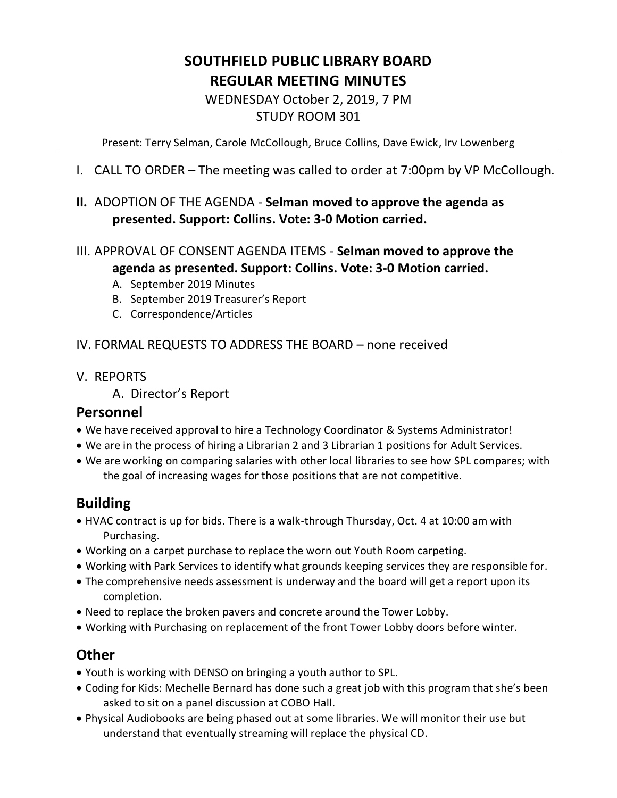# **SOUTHFIELD PUBLIC LIBRARY BOARD REGULAR MEETING MINUTES**

WEDNESDAY October 2, 2019, 7 PM STUDY ROOM 301

Present: Terry Selman, Carole McCollough, Bruce Collins, Dave Ewick, Irv Lowenberg

I. CALL TO ORDER – The meeting was called to order at 7:00pm by VP McCollough.

## **II.** ADOPTION OF THE AGENDA - **Selman moved to approve the agenda as presented. Support: Collins. Vote: 3-0 Motion carried.**

- III. APPROVAL OF CONSENT AGENDA ITEMS **Selman moved to approve the agenda as presented. Support: Collins. Vote: 3-0 Motion carried.**
	- A. September 2019 Minutes
	- B. September 2019 Treasurer's Report
	- C. Correspondence/Articles

IV. FORMAL REQUESTS TO ADDRESS THE BOARD – none received

V. REPORTS

A. Director's Report

#### **Personnel**

- We have received approval to hire a Technology Coordinator & Systems Administrator!
- We are in the process of hiring a Librarian 2 and 3 Librarian 1 positions for Adult Services.
- We are working on comparing salaries with other local libraries to see how SPL compares; with the goal of increasing wages for those positions that are not competitive.

# **Building**

- HVAC contract is up for bids. There is a walk-through Thursday, Oct. 4 at 10:00 am with Purchasing.
- Working on a carpet purchase to replace the worn out Youth Room carpeting.
- Working with Park Services to identify what grounds keeping services they are responsible for.
- The comprehensive needs assessment is underway and the board will get a report upon its completion.
- Need to replace the broken pavers and concrete around the Tower Lobby.
- Working with Purchasing on replacement of the front Tower Lobby doors before winter.

# **Other**

- Youth is working with DENSO on bringing a youth author to SPL.
- Coding for Kids: Mechelle Bernard has done such a great job with this program that she's been asked to sit on a panel discussion at COBO Hall.
- Physical Audiobooks are being phased out at some libraries. We will monitor their use but understand that eventually streaming will replace the physical CD.